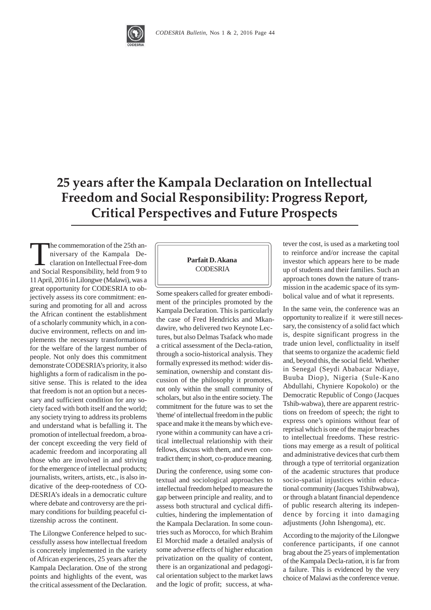

25 years after the Kampala Declaration on Intellectual **Freedom and Social Responsibility: Progress Report, Critical Perspectives and Future Prospects** 

The commemoration of the 25th anniversary of the Kampala Declaration on Intellectual Free-dom and Social Responsibility, held from 9 to 11 April, 2016 in Lilongwe (Malawi), was a great opportunity for CODESRIA to objectively assess its core commitment: ensuring and promoting for all and across the African continent the establishment of a scholarly community which, in a conducive environment, reflects on and implements the necessary transformations for the welfare of the largest number of people. Not only does this commitment demonstrate CODESRIA's priority, it also highlights a form of radicalism in the positive sense. This is related to the idea that freedom is not an option but a necessary and sufficient condition for any society faced with both itself and the world; any society trying to address its problems and understand what is befalling it. The promotion of intellectual freedom, a broader concept exceeding the very field of academic freedom and incorporating all those who are involved in and striving for the emergence of intellectual products; journalists, writers, artists, etc., is also indicative of the deep-rootedness of CO-DESRIA's ideals in a democratic culture where debate and controversy are the primary conditions for building peaceful citizenship across the continent.

The Lilongwe Conference helped to successfully assess how intellectual freedom is concretely implemented in the variety of African experiences, 25 years after the Kampala Declaration. One of the strong points and highlights of the event, was the critical assessment of the Declaration.

## **Parfait D. Akana CODESRIA**

Some speakers called for greater embodiment of the principles promoted by the Kampala Declaration. This is particularly the case of Fred Hendricks and Mkandawire, who delivered two Keynote Lectures, but also Delmas Tsafack who made a critical assessment of the Decla-ration, through a socio-historical analysis. They formally expressed its method: wider dissemination, ownership and constant discussion of the philosophy it promotes, not only within the small community of scholars, but also in the entire society. The commitment for the future was to set the 'theme' of intellectual freedom in the public space and make it the means by which everyone within a community can have a critical intellectual relationship with their fellows, discuss with them, and even contradict them; in short, co-produce meaning.

During the conference, using some contextual and sociological approaches to intellectual freedom helped to measure the gap between principle and reality, and to assess both structural and cyclical difficulties, hindering the implementation of the Kampala Declaration. In some countries such as Morocco, for which Brahim El Morchid made a detailed analysis of some adverse effects of higher education privatization on the quality of content, there is an organizational and pedagogical orientation subject to the market laws and the logic of profit; success, at whatever the cost, is used as a marketing tool to reinforce and/or increase the capital investor which appears here to be made up of students and their families. Such an approach tones down the nature of transmission in the academic space of its symbolical value and of what it represents.

In the same vein, the conference was an opportunity to realize if it were still necessary, the consistency of a solid fact which is, despite significant progress in the trade union level, conflictuality in itself that seems to organize the academic field and, beyond this, the social field. Whether in Senegal (Seydi Ababacar Ndiaye, Buuba Diop), Nigeria (Sule-Kano Abdullahi, Chyniere Kopokolo) or the Democratic Republic of Congo (Jacques Tshib-wabwa), there are apparent restrictions on freedom of speech; the right to express one's opinions without fear of reprisal which is one of the major breaches to intellectual freedoms. These restrictions may emerge as a result of political and administrative devices that curb them through a type of territorial organization of the academic structures that produce socio-spatial injustices within educational community (Jacques Tshibwabwa), or through a blatant financial dependence of public research altering its independence by forcing it into damaging adjustments (John Ishengoma), etc.

According to the majority of the Lilongwe conference participants, if one cannot brag about the 25 years of implementation of the Kampala Decla-ration, it is far from a failure. This is evidenced by the very choice of Malawi as the conference venue.